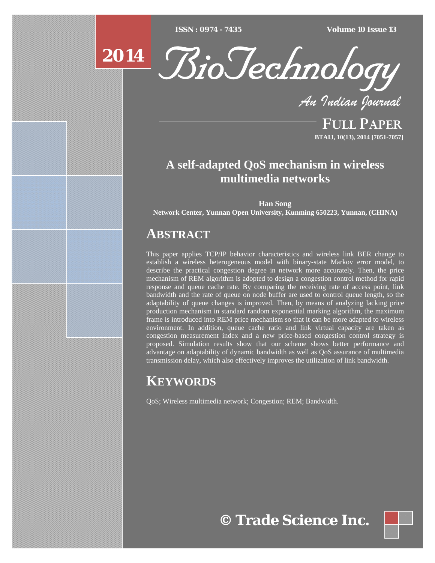$ISSN : 0974 - 7435$ 

*ISSN : 0974 - 7435 Volume 10 Issue 13*





*An Indian Journal*

FULL PAPER **BTAIJ, 10(13), 2014 [7051-7057]**

# **A self-adapted QoS mechanism in wireless multimedia networks**

**Han Song Network Center, Yunnan Open University, Kunming 650223, Yunnan, (CHINA)**

# **ABSTRACT**

This paper applies TCP/IP behavior characteristics and wireless link BER change to establish a wireless heterogeneous model with binary-state Markov error model, to describe the practical congestion degree in network more accurately. Then, the price mechanism of REM algorithm is adopted to design a congestion control method for rapid response and queue cache rate. By comparing the receiving rate of access point, link bandwidth and the rate of queue on node buffer are used to control queue length, so the adaptability of queue changes is improved. Then, by means of analyzing lacking price production mechanism in standard random exponential marking algorithm, the maximum frame is introduced into REM price mechanism so that it can be more adapted to wireless environment. In addition, queue cache ratio and link virtual capacity are taken as congestion measurement index and a new price-based congestion control strategy is proposed. Simulation results show that our scheme shows better performance and advantage on adaptability of dynamic bandwidth as well as QoS assurance of multimedia transmission delay, which also effectively improves the utilization of link bandwidth.

# **KEYWORDS**

QoS; Wireless multimedia network; Congestion; REM; Bandwidth.

**© Trade Science Inc.**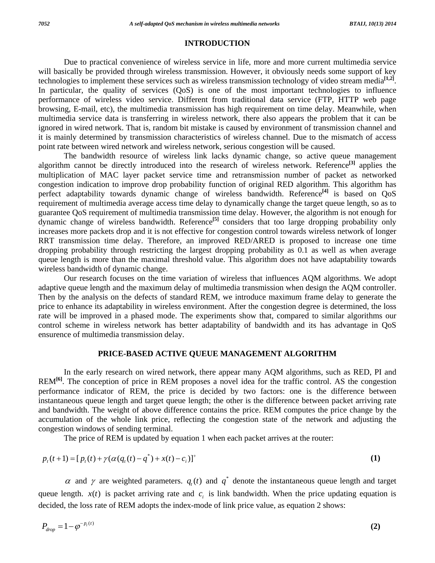## **INTRODUCTION**

 Due to practical convenience of wireless service in life, more and more current multimedia service will basically be provided through wireless transmission. However, it obviously needs some support of key technologies to implement these services such as wireless transmission technology of video stream media**[1,2]**. In particular, the quality of services (QoS) is one of the most important technologies to influence performance of wireless video service. Different from traditional data service (FTP, HTTP web page browsing, E-mail, etc), the multimedia transmission has high requirement on time delay. Meanwhile, when multimedia service data is transferring in wireless network, there also appears the problem that it can be ignored in wired network. That is, random bit mistake is caused by environment of transmission channel and it is mainly determined by transmission characteristics of wireless channel. Due to the mismatch of access point rate between wired network and wireless network, serious congestion will be caused.

 The bandwidth resource of wireless link lacks dynamic change, so active queue management algorithm cannot be directly introduced into the research of wireless network. Reference**[3]** applies the multiplication of MAC layer packet service time and retransmission number of packet as networked congestion indication to improve drop probability function of original RED algorithm. This algorithm has perfect adaptability towards dynamic change of wireless bandwidth. Reference<sup>[4]</sup> is based on OoS requirement of multimedia average access time delay to dynamically change the target queue length, so as to guarantee QoS requirement of multimedia transmission time delay. However, the algorithm is not enough for dynamic change of wireless bandwidth. Reference**[5]** considers that too large dropping probability only increases more packets drop and it is not effective for congestion control towards wireless network of longer RRT transmission time delay. Therefore, an improved RED/ARED is proposed to increase one time dropping probability through restricting the largest dropping probability as 0.1 as well as when average queue length is more than the maximal threshold value. This algorithm does not have adaptability towards wireless bandwidth of dynamic change.

 Our research focuses on the time variation of wireless that influences AQM algorithms. We adopt adaptive queue length and the maximum delay of multimedia transmission when design the AQM controller. Then by the analysis on the defects of standard REM, we introduce maximum frame delay to generate the price to enhance its adaptability in wireless environment. After the congestion degree is determined, the loss rate will be improved in a phased mode. The experiments show that, compared to similar algorithms our control scheme in wireless network has better adaptability of bandwidth and its has advantage in QoS ensurence of multimedia transmission delay.

# **PRICE-BASED ACTIVE QUEUE MANAGEMENT ALGORITHM**

 In the early research on wired network, there appear many AQM algorithms, such as RED, PI and REM<sup>[6]</sup>. The conception of price in REM proposes a novel idea for the traffic control. AS the congestion performance indicator of REM, the price is decided by two factors: one is the difference between instantaneous queue length and target queue length; the other is the difference between packet arriving rate and bandwidth. The weight of above difference contains the price. REM computes the price change by the accumulation of the whole link price, reflecting the congestion state of the network and adjusting the congestion windows of sending terminal.

The price of REM is updated by equation 1 when each packet arrives at the router:

$$
p_{t}(t+1) = [p_{t}(t) + \gamma(\alpha(q_{t}(t) - q^{*}) + x(t) - c_{i})]^{+}
$$
\n(1)

 $\alpha$  and  $\gamma$  are weighted parameters.  $q_i(t)$  and  $q^*$  denote the instantaneous queue length and target queue length.  $x(t)$  is packet arriving rate and  $c_i$  is link bandwidth. When the price updating equation is decided, the loss rate of REM adopts the index-mode of link price value, as equation 2 shows:

$$
P_{drop} = 1 - \varphi^{-p_i(t)} \tag{2}
$$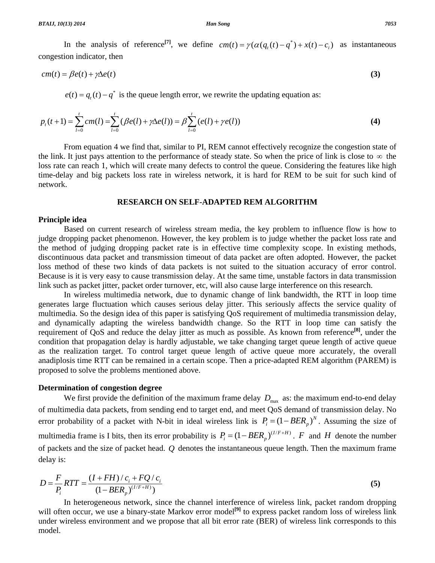In the analysis of reference<sup>[7]</sup>, we define  $cm(t) = \gamma(\alpha(q, (t) - q^*) + x(t) - c_i)$  as instantaneous congestion indicator, then

$$
cm(t) = \beta e(t) + \gamma \Delta e(t) \tag{3}
$$

 $e(t) = q(t) - q^*$  is the queue length error, we rewrite the updating equation as:

$$
p_t(t+1) = \sum_{l=0}^t cm(l) = \sum_{l=0}^t (\beta e(l) + \gamma \Delta e(l)) = \beta \sum_{l=0}^t (e(l) + \gamma e(l))
$$
 (4)

 From equation 4 we find that, similar to PI, REM cannot effectively recognize the congestion state of the link. It just pays attention to the performance of steady state. So when the price of link is close to  $\infty$  the loss rate can reach 1, which will create many defects to control the queue. Considering the features like high time-delay and big packets loss rate in wireless network, it is hard for REM to be suit for such kind of network.

#### **RESEARCH ON SELF-ADAPTED REM ALGORITHM**

### **Principle idea**

 Based on current research of wireless stream media, the key problem to influence flow is how to judge dropping packet phenomenon. However, the key problem is to judge whether the packet loss rate and the method of judging dropping packet rate is in effective time complexity scope. In existing methods, discontinuous data packet and transmission timeout of data packet are often adopted. However, the packet loss method of these two kinds of data packets is not suited to the situation accuracy of error control. Because is it is very easy to cause transmission delay. At the same time, unstable factors in data transmission link such as packet jitter, packet order turnover, etc, will also cause large interference on this research.

 In wireless multimedia network, due to dynamic change of link bandwidth, the RTT in loop time generates large fluctuation which causes serious delay jitter. This seriously affects the service quality of multimedia. So the design idea of this paper is satisfying QoS requirement of multimedia transmission delay, and dynamically adapting the wireless bandwidth change. So the RTT in loop time can satisfy the requirement of QoS and reduce the delay jitter as much as possible. As known from reference**[8]**, under the condition that propagation delay is hardly adjustable, we take changing target queue length of active queue as the realization target. To control target queue length of active queue more accurately, the overall anadiplosis time RTT can be remained in a certain scope. Then a price-adapted REM algorithm (PAREM) is proposed to solve the problems mentioned above.

### **Determination of congestion degree**

We first provide the definition of the maximum frame delay  $D_{\text{max}}$  as: the maximum end-to-end delay of multimedia data packets, from sending end to target end, and meet QoS demand of transmission delay. No error probability of a packet with N-bit in ideal wireless link is  $P_i = (1 - BER_{i})^N$ . Assuming the size of multimedia frame is I bits, then its error probability is  $P_i = (1 - BER_p)^{(I/F+H)}$ . *F* and *H* denote the number of packets and the size of packet head. *Q* denotes the instantaneous queue length. Then the maximum frame delay is:

$$
D = \frac{F}{P_i}RTT = \frac{(I + FH)/c_i + FQ/c_i}{(1 - BER_p)^{(I/F + H)}}
$$
(5)

 In heterogeneous network, since the channel interference of wireless link, packet random dropping will often occur, we use a binary-state Markov error model<sup>[9]</sup> to express packet random loss of wireless link under wireless environment and we propose that all bit error rate (BER) of wireless link corresponds to this model.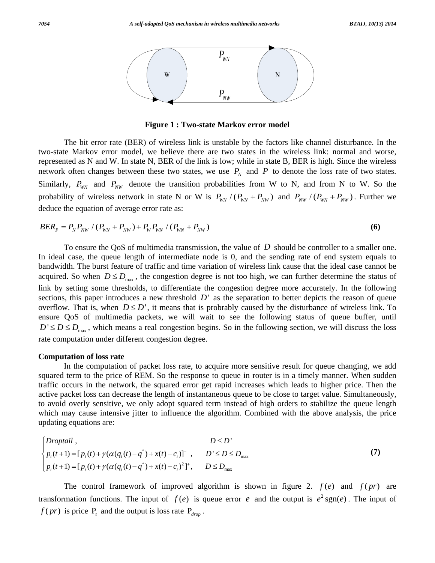

**Figure 1 : Two-state Markov error model** 

 The bit error rate (BER) of wireless link is unstable by the factors like channel disturbance. In the two-state Markov error model, we believe there are two states in the wireless link: normal and worse, represented as N and W. In state N, BER of the link is low; while in state B, BER is high. Since the wireless network often changes between these two states, we use  $P<sub>N</sub>$  and  $P$  to denote the loss rate of two states. Similarly,  $P_{WN}$  and  $P_{NW}$  denote the transition probabilities from W to N, and from N to W. So the probability of wireless network in state N or W is  $P_{W} / (P_{W} + P_{NW})$  and  $P_{NW} / (P_{W} + P_{NW})$ . Further we deduce the equation of average error rate as:

$$
BER_{P} = P_{N}P_{NW} / (P_{WN} + P_{NW}) + P_{W}P_{WN} / (P_{WN} + P_{NW})
$$
\n(6)

 To ensure the QoS of multimedia transmission, the value of *D* should be controller to a smaller one. In ideal case, the queue length of intermediate node is 0, and the sending rate of end system equals to bandwidth. The burst feature of traffic and time variation of wireless link cause that the ideal case cannot be acquired. So when  $D \le D_{\text{max}}$ , the congestion degree is not too high, we can further determine the status of link by setting some thresholds, to differentiate the congestion degree more accurately. In the following sections, this paper introduces a new threshold  $D'$  as the separation to better depicts the reason of queue overflow. That is, when  $D \le D'$ , it means that is probrably caused by the disturbance of wireless link. To ensure QoS of multimedia packets, we will wait to see the following status of queue buffer, until  $D' \le D \le D_{\text{max}}$ , which means a real congestion begins. So in the following section, we will discuss the loss rate computation under different congestion degree.

#### **Computation of loss rate**

 In the computation of packet loss rate, to acquire more sensitive result for queue changing, we add squared term to the price of REM. So the response to queue in router is in a timely manner. When sudden traffic occurs in the network, the squared error get rapid increases which leads to higher price. Then the active packet loss can decrease the length of instantaneous queue to be close to target value. Simultaneously, to avoid overly sensitive, we only adopt squared term instead of high orders to stabilize the queue length which may cause intensive jitter to influence the algorithm. Combined with the above analysis, the price updating equations are:

\* max \* 2 max , ' ( 1) [ ( ) ( ( ( ) ) ( ) )] , ' ( 1) [ ( ) ( ( ( ) ) ( ) ) ] , *tt t i tt t i Droptail D D p t p t q t q xt c D D D p t p t q t q xt c D D* γ α γ α + + ⎧ ≤ ⎪ ⎨ += + − + − ≤ ≤ ⎪ ⎩ += + − + − ≤ **(7)**

The control framework of improved algorithm is shown in figure 2.  $f(e)$  and  $f(pr)$  are transformation functions. The input of  $f(e)$  is queue error *e* and the output is  $e^2 \text{sgn}(e)$ . The input of  $f(pr)$  is price  $P_r$  and the output is loss rate  $P_{drop}$ .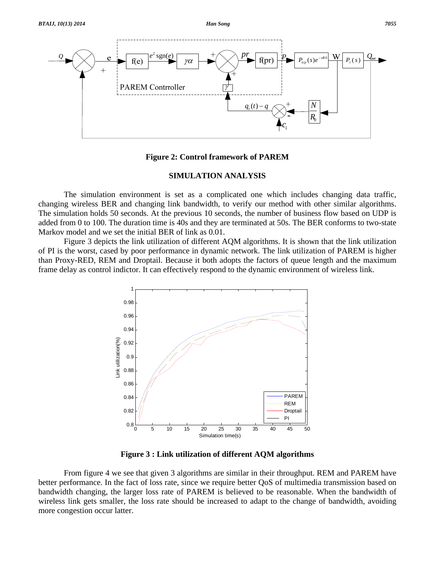

**Figure 2: Control framework of PAREM** 

# **SIMULATION ANALYSIS**

 The simulation environment is set as a complicated one which includes changing data traffic, changing wireless BER and changing link bandwidth, to verify our method with other similar algorithms. The simulation holds 50 seconds. At the previous 10 seconds, the number of business flow based on UDP is added from 0 to 100. The duration time is 40s and they are terminated at 50s. The BER conforms to two-state Markov model and we set the initial BER of link as 0.01.

 Figure 3 depicts the link utilization of different AQM algorithms. It is shown that the link utilization of PI is the worst, cased by poor performance in dynamic network. The link utilization of PAREM is higher than Proxy-RED, REM and Droptail. Because it both adopts the factors of queue length and the maximum frame delay as control indictor. It can effectively respond to the dynamic environment of wireless link.



**Figure 3 : Link utilization of different AQM algorithms** 

 From figure 4 we see that given 3 algorithms are similar in their throughput. REM and PAREM have better performance. In the fact of loss rate, since we require better QoS of multimedia transmission based on bandwidth changing, the larger loss rate of PAREM is believed to be reasonable. When the bandwidth of wireless link gets smaller, the loss rate should be increased to adapt to the change of bandwidth, avoiding more congestion occur latter.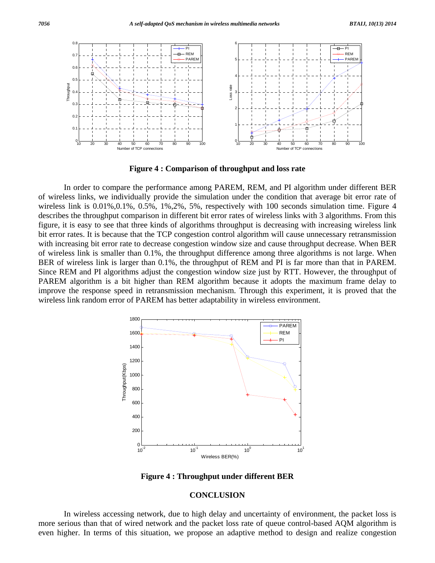

**Figure 4 : Comparison of throughput and loss rate** 

 In order to compare the performance among PAREM, REM, and PI algorithm under different BER of wireless links, we individually provide the simulation under the condition that average bit error rate of wireless link is  $0.01\%, 0.1\%, 0.5\%, 1\%, 2\%, 5\%,$  respectively with 100 seconds simulation time. Figure 4 describes the throughput comparison in different bit error rates of wireless links with 3 algorithms. From this figure, it is easy to see that three kinds of algorithms throughput is decreasing with increasing wireless link bit error rates. It is because that the TCP congestion control algorithm will cause unnecessary retransmission with increasing bit error rate to decrease congestion window size and cause throughput decrease. When BER of wireless link is smaller than 0.1%, the throughput difference among three algorithms is not large. When BER of wireless link is larger than 0.1%, the throughput of REM and PI is far more than that in PAREM. Since REM and PI algorithms adjust the congestion window size just by RTT. However, the throughput of PAREM algorithm is a bit higher than REM algorithm because it adopts the maximum frame delay to improve the response speed in retransmission mechanism. Through this experiment, it is proved that the wireless link random error of PAREM has better adaptability in wireless environment.



**Figure 4 : Throughput under different BER** 

### **CONCLUSION**

 In wireless accessing network, due to high delay and uncertainty of environment, the packet loss is more serious than that of wired network and the packet loss rate of queue control-based AQM algorithm is even higher. In terms of this situation, we propose an adaptive method to design and realize congestion